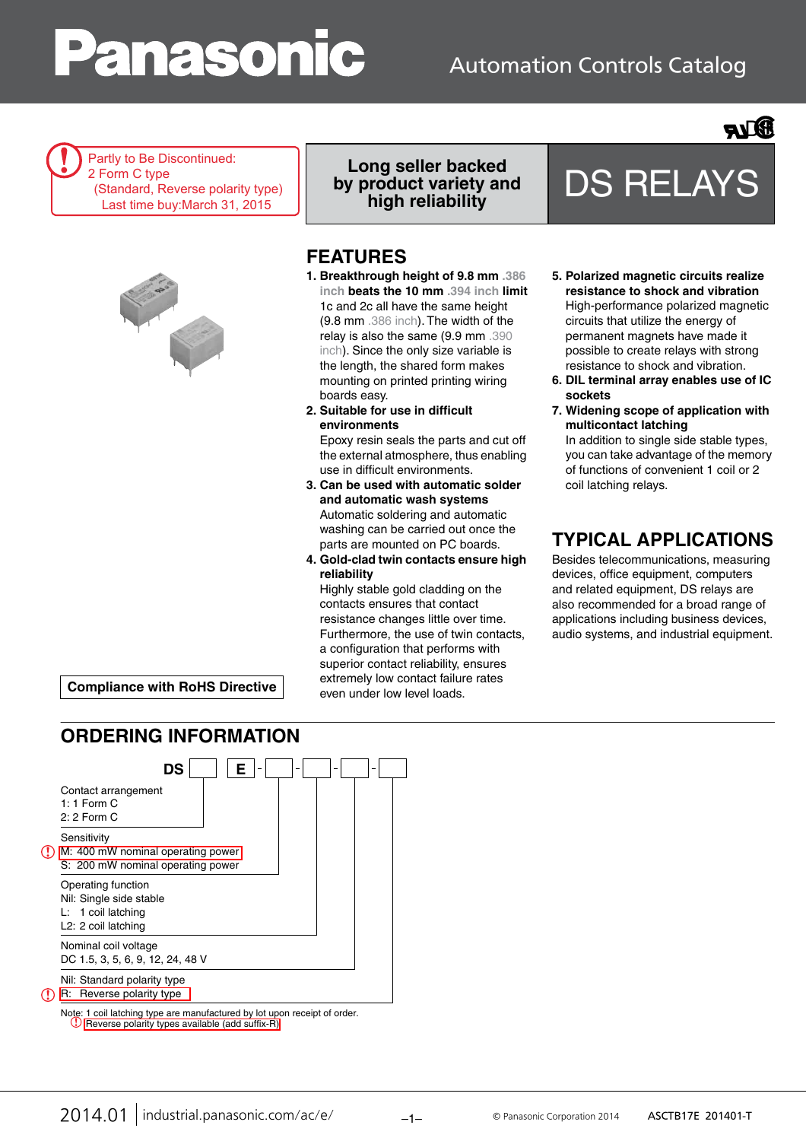# anasoni

# Automation Controls Catalog



Partly to Be Discontinued: 2 Form C type (Standard, Reverse polarity type) Last time buy:March 31, 2015



**Long seller backed by product variety and** 

## **FEATURES**

- **1. Breakthrough height of 9.8 mm .386 inch beats the 10 mm .394 inch limit** 1c and 2c all have the same height (9.8 mm .386 inch). The width of the relay is also the same (9.9 mm .390 inch). Since the only size variable is the length, the shared form makes mounting on printed printing wiring boards easy.
- **2. Suitable for use in difficult environments**

Epoxy resin seals the parts and cut off the external atmosphere, thus enabling use in difficult environments.

- **3. Can be used with automatic solder and automatic wash systems** Automatic soldering and automatic washing can be carried out once the parts are mounted on PC boards.
- **4. Gold-clad twin contacts ensure high reliability**

Highly stable gold cladding on the contacts ensures that contact resistance changes little over time. Furthermore, the use of twin contacts, a configuration that performs with superior contact reliability, ensures extremely low contact failure rates even under low level loads.

**5. Polarized magnetic circuits realize resistance to shock and vibration** High-performance polarized magnetic circuits that utilize the energy of permanent magnets have made it possible to create relays with strong resistance to shock and vibration.

**high reliability** DS RELAYS

- **6. DIL terminal array enables use of IC sockets**
- **7. Widening scope of application with multicontact latching** In addition to single side stable types, you can take advantage of the memory of functions of convenient 1 coil or 2

coil latching relays.

# **TYPICAL APPLICATIONS**

Besides telecommunications, measuring devices, office equipment, computers and related equipment, DS relays are also recommended for a broad range of applications including business devices, audio systems, and industrial equipment.

**Compliance with RoHS Directive**

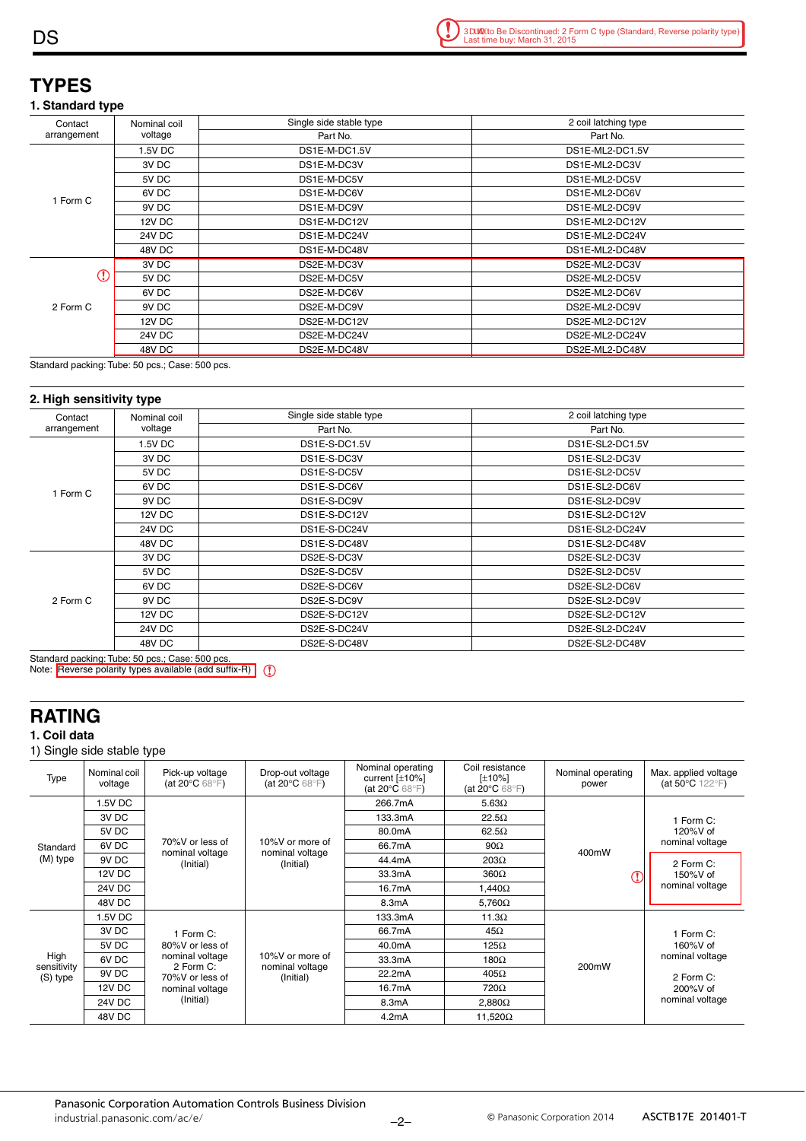## **TYPES**

#### **1. Standard type**

| Contact     | Nominal coil         | Single side stable type | 2 coil latching type |  |  |
|-------------|----------------------|-------------------------|----------------------|--|--|
| arrangement | voltage              | Part No.                | Part No.             |  |  |
|             | 1.5V DC              | DS1E-M-DC1.5V           | DS1E-ML2-DC1.5V      |  |  |
|             | 3V DC                | DS1E-M-DC3V             | DS1E-ML2-DC3V        |  |  |
|             | 5V DC<br>DS1E-M-DC5V |                         | DS1E-ML2-DC5V        |  |  |
| Form C      | 6V DC                | DS1E-M-DC6V             | DS1E-ML2-DC6V        |  |  |
|             | 9V DC<br>DS1E-M-DC9V |                         | DS1E-ML2-DC9V        |  |  |
|             | <b>12V DC</b>        | DS1E-M-DC12V            | DS1E-ML2-DC12V       |  |  |
|             | <b>24V DC</b>        | DS1E-M-DC24V            | DS1E-ML2-DC24V       |  |  |
|             | 48V DC               | DS1E-M-DC48V            | DS1E-ML2-DC48V       |  |  |
| Œ           | 3V DC                | DS2E-M-DC3V             | DS2E-ML2-DC3V        |  |  |
|             | 5V DC                | DS2E-M-DC5V             | DS2E-ML2-DC5V        |  |  |
|             | 6V DC                | DS2E-M-DC6V             | DS2E-ML2-DC6V        |  |  |
| 2 Form C    | 9V DC                | DS2E-M-DC9V             | DS2E-ML2-DC9V        |  |  |
|             | <b>12V DC</b>        | DS2E-M-DC12V            | DS2E-ML2-DC12V       |  |  |
|             | <b>24V DC</b>        | DS2E-M-DC24V            | DS2E-ML2-DC24V       |  |  |
|             | 48V DC               | DS2E-M-DC48V            | DS2E-ML2-DC48V       |  |  |

Standard packing: Tube: 50 pcs.; Case: 500 pcs.

#### **2. High sensitivity type**

| Contact     | Nominal coil                  | Single side stable type | 2 coil latching type |  |  |
|-------------|-------------------------------|-------------------------|----------------------|--|--|
| arrangement | voltage                       | Part No.                | Part No.             |  |  |
|             | 1.5V DC                       | DS1E-S-DC1.5V           | DS1E-SL2-DC1.5V      |  |  |
|             | 3V DC                         | DS1E-S-DC3V             | DS1E-SL2-DC3V        |  |  |
|             | 5V DC                         | DS1E-S-DC5V             | DS1E-SL2-DC5V        |  |  |
| Form C      | 6V DC                         | DS1E-S-DC6V             | DS1E-SL2-DC6V        |  |  |
|             | 9V DC<br>DS1E-S-DC9V          |                         | DS1E-SL2-DC9V        |  |  |
|             | <b>12V DC</b><br>DS1E-S-DC12V |                         | DS1E-SL2-DC12V       |  |  |
|             | <b>24V DC</b>                 | DS1E-S-DC24V            | DS1E-SL2-DC24V       |  |  |
|             | 48V DC                        | DS1E-S-DC48V            | DS1E-SL2-DC48V       |  |  |
|             | 3V DC                         | DS2E-S-DC3V             | DS2E-SL2-DC3V        |  |  |
|             | 5V DC                         | DS2E-S-DC5V             | DS2E-SL2-DC5V        |  |  |
|             | 6V DC                         | DS2E-S-DC6V             | DS2E-SL2-DC6V        |  |  |
| 2 Form C    | 9V DC                         | DS2E-S-DC9V             | DS2E-SL2-DC9V        |  |  |
|             | 12V DC                        | DS2E-S-DC12V            | DS2E-SL2-DC12V       |  |  |
|             | 24V DC                        | DS2E-S-DC24V            | DS2E-SL2-DC24V       |  |  |
|             | 48V DC                        | DS2E-S-DC48V            | DS2E-SL2-DC48V       |  |  |

Standard <u>packing: Tube: 50 pcs.; Case: 500 pcs.</u><br>Note: <mark>|</mark>Reverse polarity types available (add suffix-R)

## **RATING**

#### **1. Coil data**

1) Single side stable type

| Type                            | Nominal coil<br>voltage | Pick-up voltage<br>(at 20 $\mathrm{^{\circ}C}$ 68 $\mathrm{^{\circ}F}$ )                           | Drop-out voltage<br>(at 20 $\mathrm{^{\circ}C}$ 68 $\mathrm{^{\circ}F}$ ) | Nominal operating<br>current $[\pm 10\%]$<br>(at 20 $\mathrm{^{\circ}C}$ 68 $\mathrm{^{\circ}F}$ ) | Coil resistance<br>[±10%]<br>(at 20 $\mathrm{^{\circ}C}$ 68 $\mathrm{^{\circ}F}$ ) | Nominal operating<br>power | Max. applied voltage<br>(at 50 $°C$ 122 $\textdegree$ F)                                |
|---------------------------------|-------------------------|----------------------------------------------------------------------------------------------------|---------------------------------------------------------------------------|----------------------------------------------------------------------------------------------------|------------------------------------------------------------------------------------|----------------------------|-----------------------------------------------------------------------------------------|
|                                 | 1.5V DC                 |                                                                                                    | 10%V or more of<br>nominal voltage<br>(Initial)                           | 266.7mA                                                                                            | $5.63\Omega$                                                                       |                            | 1 Form C:<br>120%V of<br>nominal voltage                                                |
|                                 | 3V DC                   |                                                                                                    |                                                                           | 133.3mA                                                                                            | $22.5\Omega$                                                                       |                            |                                                                                         |
|                                 | 5V DC                   |                                                                                                    |                                                                           | 80.0mA                                                                                             | $62.5\Omega$                                                                       |                            |                                                                                         |
| Standard<br>(M) type            | 6V <sub>DC</sub>        | 70%V or less of                                                                                    |                                                                           | 66.7mA                                                                                             | $90\Omega$                                                                         | 400mW                      |                                                                                         |
|                                 | 9V <sub>DC</sub>        | nominal voltage<br>(Initial)                                                                       |                                                                           | 44.4mA                                                                                             | $203\Omega$                                                                        |                            | 2 Form C:<br>150%V of<br>nominal voltage                                                |
|                                 | 12V DC                  |                                                                                                    |                                                                           | 33.3mA                                                                                             | $360\Omega$                                                                        |                            |                                                                                         |
|                                 | <b>24V DC</b>           |                                                                                                    |                                                                           | 16.7mA                                                                                             | $1.440\Omega$                                                                      |                            |                                                                                         |
|                                 | 48V DC                  |                                                                                                    |                                                                           | 8.3mA                                                                                              | $5,760\Omega$                                                                      |                            |                                                                                         |
| High<br>sensitivity<br>(S) type | 1.5V DC                 |                                                                                                    | 10%V or more of<br>nominal voltage<br>(Initial)                           | 133.3mA                                                                                            | $11.3\Omega$                                                                       |                            | 1 Form C:<br>160%V of<br>nominal voltage<br>2 Form C:<br>$200\%V$ of<br>nominal voltage |
|                                 | 3V DC                   | 1 Form C:<br>80%V or less of<br>nominal voltage<br>2 Form C:<br>70%V or less of<br>nominal voltage |                                                                           | 66.7mA                                                                                             | $45\Omega$                                                                         |                            |                                                                                         |
|                                 | 5V DC                   |                                                                                                    |                                                                           | 40.0mA                                                                                             | $125\Omega$                                                                        |                            |                                                                                         |
|                                 | 6V <sub>DC</sub>        |                                                                                                    |                                                                           | 33.3mA                                                                                             | $180\Omega$                                                                        | 200mW                      |                                                                                         |
|                                 | 9V <sub>DC</sub>        |                                                                                                    |                                                                           | 22.2mA                                                                                             | $405\Omega$                                                                        |                            |                                                                                         |
|                                 | 12V DC                  |                                                                                                    |                                                                           | 16.7mA                                                                                             | 720Ω                                                                               |                            |                                                                                         |
|                                 | <b>24V DC</b>           | (Initial)                                                                                          |                                                                           | 8.3mA                                                                                              | $2,880\Omega$                                                                      |                            |                                                                                         |
|                                 | 48V DC                  |                                                                                                    |                                                                           | 4.2mA                                                                                              | 11.520 $\Omega$                                                                    |                            |                                                                                         |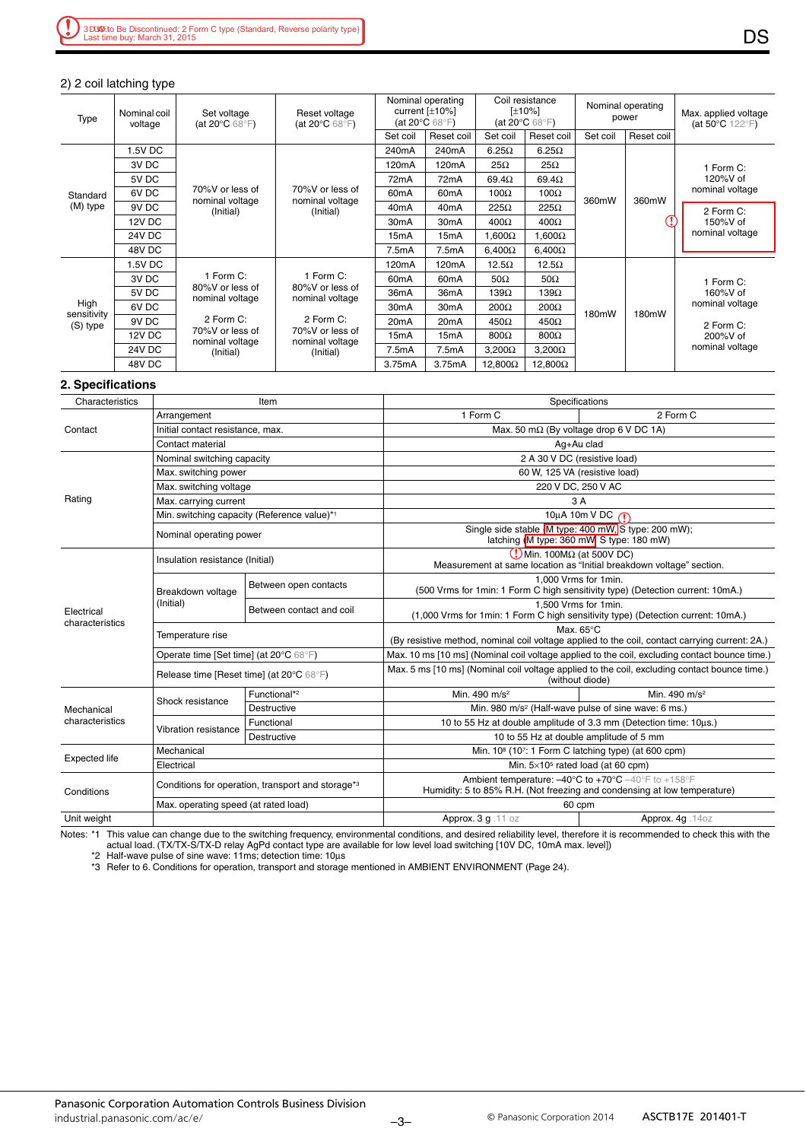#### 2) 2 coil latching type

| Type                            | Nominal coil<br>voltage | Set voltage<br>(at 20 $\mathrm{^{\circ}C}$ 68 $\mathrm{^{\circ}F}$ )                                            | Reset voltage<br>(at 20 $\mathrm{^{\circ}C}$ 68 $\mathrm{^{\circ}F}$ )                                          | Nominal operating<br>current $[\pm 10\%]$<br>(at 20 $\mathrm{^{\circ}C}$ 68 $\mathrm{^{\circ}F}$ ) |                   | Coil resistance<br>[±10%]<br>(at 20 $\degree$ C 68 $\degree$ F) |                 | Nominal operating<br>power |            | Max. applied voltage<br>(at 50 $°C$ 122 $\textdegree$ F) |
|---------------------------------|-------------------------|-----------------------------------------------------------------------------------------------------------------|-----------------------------------------------------------------------------------------------------------------|----------------------------------------------------------------------------------------------------|-------------------|-----------------------------------------------------------------|-----------------|----------------------------|------------|----------------------------------------------------------|
|                                 |                         |                                                                                                                 |                                                                                                                 | Set coil                                                                                           | Reset coil        | Set coil                                                        | Reset coil      | Set coil                   | Reset coil |                                                          |
| Standard<br>(M) type            | I.5V DC                 |                                                                                                                 | 70%V or less of<br>nominal voltage<br>(Initial)                                                                 | 240mA                                                                                              | 240mA             | $6.25\Omega$                                                    | $6.25\Omega$    | 360mW                      | 360mW      | 1 Form C:<br>120%V of<br>nominal voltage                 |
|                                 | 3V DC                   |                                                                                                                 |                                                                                                                 | 120 <sub>m</sub> A                                                                                 | 120mA             | $25\Omega$                                                      | $25\Omega$      |                            |            |                                                          |
|                                 | 5V DC                   |                                                                                                                 |                                                                                                                 | 72 <sub>m</sub> A                                                                                  | 72 <sub>m</sub> A | $69.4\Omega$                                                    | $69.4\Omega$    |                            |            |                                                          |
|                                 | 6V DC                   | 70%V or less of                                                                                                 |                                                                                                                 | 60 <sub>m</sub> A                                                                                  | 60 <sub>m</sub> A | 100 $\Omega$                                                    | 100 $\Omega$    |                            |            |                                                          |
|                                 | 9V DC                   | nominal voltage<br>(Initial)                                                                                    |                                                                                                                 | 40 <sub>m</sub> A                                                                                  | 40 <sub>m</sub> A | $225\Omega$                                                     | $225\Omega$     |                            |            | 2 Form C:<br>150%V of<br>nominal voltage                 |
|                                 | <b>12V DC</b>           |                                                                                                                 |                                                                                                                 | 30 <sub>m</sub> A                                                                                  | 30 <sub>m</sub> A | $400\Omega$                                                     | $400\Omega$     |                            |            |                                                          |
|                                 | 24V DC                  |                                                                                                                 |                                                                                                                 | 15 <sub>m</sub> A                                                                                  | 15 <sub>m</sub> A | $\Omega$ 000. I                                                 | $1{,}600\Omega$ |                            |            |                                                          |
|                                 | 48V DC                  |                                                                                                                 |                                                                                                                 | 7.5mA                                                                                              | 7.5mA             | $6.400\Omega$                                                   | $6,400\Omega$   |                            |            |                                                          |
| High<br>sensitivity<br>(S) type | 1.5V DC                 | 1 Form C:<br>80%V or less of<br>nominal voltage<br>2 Form C:<br>70%V or less of<br>nominal voltage<br>(Initial) | 1 Form C:<br>80%V or less of<br>nominal voltage<br>2 Form C:<br>70%V or less of<br>nominal voltage<br>(Initial) | 120 <sub>m</sub> A                                                                                 | 120mA             | $12.5\Omega$                                                    | $12.5\Omega$    | 180mW<br>180mW             |            | 1 Form C:<br>160%V of<br>nominal voltage                 |
|                                 | 3V DC                   |                                                                                                                 |                                                                                                                 | 60 <sub>m</sub> A                                                                                  | 60 <sub>m</sub> A | $50\Omega$                                                      | $50\Omega$      |                            |            |                                                          |
|                                 | 5V DC                   |                                                                                                                 |                                                                                                                 | 36 <sub>m</sub> A                                                                                  | 36 <sub>m</sub> A | 139 $\Omega$                                                    | $139\Omega$     |                            |            |                                                          |
|                                 | 6V <sub>DC</sub>        |                                                                                                                 |                                                                                                                 | 30 <sub>m</sub> A                                                                                  | 30 <sub>m</sub> A | $200\Omega$                                                     | 200Ω            |                            |            |                                                          |
|                                 | 9V DC                   |                                                                                                                 |                                                                                                                 | 20 <sub>m</sub> A                                                                                  | 20 <sub>m</sub> A | $450\Omega$                                                     | $450\Omega$     |                            | 2 Form C:  |                                                          |
|                                 | <b>12V DC</b>           |                                                                                                                 |                                                                                                                 | 15 <sub>m</sub> A                                                                                  | 15mA              | $800\Omega$                                                     | $800\Omega$     |                            |            | 200%V of<br>nominal voltage                              |
|                                 | <b>24V DC</b>           |                                                                                                                 |                                                                                                                 | 7.5mA                                                                                              | 7.5mA             | $3.200\Omega$                                                   | $3,200\Omega$   |                            |            |                                                          |
|                                 | 48V DC                  |                                                                                                                 |                                                                                                                 | 3.75mA                                                                                             | 3.75mA            | $12,800\Omega$                                                  | $12,800\Omega$  |                            |            |                                                          |

#### **2. Specifications**

| Characteristics               |                                                               | Item                                        | Specifications                                                                                                                                                          |                                                                                                                       |  |  |  |
|-------------------------------|---------------------------------------------------------------|---------------------------------------------|-------------------------------------------------------------------------------------------------------------------------------------------------------------------------|-----------------------------------------------------------------------------------------------------------------------|--|--|--|
|                               | Arrangement                                                   |                                             | 1 Form C                                                                                                                                                                | 2 Form C                                                                                                              |  |  |  |
| Contact                       | Initial contact resistance, max.                              |                                             | Max. 50 mΩ (By voltage drop 6 V DC 1A)                                                                                                                                  |                                                                                                                       |  |  |  |
|                               | Contact material                                              |                                             | Aq+Au clad                                                                                                                                                              |                                                                                                                       |  |  |  |
| Rating                        | Nominal switching capacity                                    |                                             | 2 A 30 V DC (resistive load)                                                                                                                                            |                                                                                                                       |  |  |  |
|                               | Max. switching power                                          |                                             | 60 W, 125 VA (resistive load)                                                                                                                                           |                                                                                                                       |  |  |  |
|                               | Max. switching voltage                                        |                                             | 220 V DC, 250 V AC                                                                                                                                                      |                                                                                                                       |  |  |  |
|                               | Max. carrying current                                         |                                             | 3A                                                                                                                                                                      |                                                                                                                       |  |  |  |
|                               |                                                               | Min. switching capacity (Reference value)*1 | 10µA 10m V DC n                                                                                                                                                         |                                                                                                                       |  |  |  |
|                               | Nominal operating power                                       |                                             | Single side stable M type: 400 mW, S type: 200 mW);<br>latching M type: 360 mW S type: 180 mW)                                                                          |                                                                                                                       |  |  |  |
|                               | Insulation resistance (Initial)                               |                                             | $\left( \frac{1}{2} \right)$ Min. 100M $\Omega$ (at 500V DC)                                                                                                            |                                                                                                                       |  |  |  |
|                               |                                                               |                                             | Measurement at same location as "Initial breakdown voltage" section.                                                                                                    |                                                                                                                       |  |  |  |
|                               | Breakdown voltage<br>(Initial)                                | Between open contacts                       | 1.000 Vrms for 1min.<br>(500 Vrms for 1min: 1 Form C high sensitivity type) (Detection current: 10mA.)                                                                  |                                                                                                                       |  |  |  |
| Electrical<br>characteristics |                                                               | Between contact and coil                    | 1.500 Vrms for 1min.<br>(1,000 Vrms for 1min: 1 Form C high sensitivity type) (Detection current: 10mA.)                                                                |                                                                                                                       |  |  |  |
|                               | Temperature rise                                              |                                             |                                                                                                                                                                         | Max. $65^{\circ}$ C<br>(By resistive method, nominal coil voltage applied to the coil, contact carrying current: 2A.) |  |  |  |
|                               | Operate time [Set time] (at 20°C 68°F)                        |                                             |                                                                                                                                                                         | Max. 10 ms [10 ms] (Nominal coil voltage applied to the coil, excluding contact bounce time.)                         |  |  |  |
|                               |                                                               |                                             | Max. 5 ms [10 ms] (Nominal coil voltage applied to the coil, excluding contact bounce time.)                                                                            |                                                                                                                       |  |  |  |
|                               | Release time [Reset time] (at 20°C 68°F)                      |                                             | (without diode)                                                                                                                                                         |                                                                                                                       |  |  |  |
|                               | Shock resistance                                              | Functional* <sup>2</sup>                    | Min. 490 m/s <sup>2</sup>                                                                                                                                               | Min. 490 m/s <sup>2</sup>                                                                                             |  |  |  |
| Mechanical                    |                                                               | Destructive                                 | Min. 980 m/s <sup>2</sup> (Half-wave pulse of sine wave: 6 ms.)                                                                                                         |                                                                                                                       |  |  |  |
| characteristics               | Vibration resistance                                          | Functional                                  |                                                                                                                                                                         | 10 to 55 Hz at double amplitude of 3.3 mm (Detection time: 10us.)                                                     |  |  |  |
|                               |                                                               | <b>Destructive</b>                          |                                                                                                                                                                         | 10 to 55 Hz at double amplitude of 5 mm                                                                               |  |  |  |
| <b>Expected life</b>          | Mechanical                                                    |                                             | Min. $10^8$ (10 <sup>7</sup> : 1 Form C latching type) (at 600 cpm)                                                                                                     |                                                                                                                       |  |  |  |
|                               | Electrical                                                    |                                             | Min. $5\times10^5$ rated load (at 60 cpm)                                                                                                                               |                                                                                                                       |  |  |  |
| Conditions                    | Conditions for operation, transport and storage* <sup>3</sup> |                                             | Ambient temperature: $-40^{\circ}$ C to $+70^{\circ}$ C $-40^{\circ}$ F to $+158^{\circ}$ F<br>Humidity: 5 to 85% R.H. (Not freezing and condensing at low temperature) |                                                                                                                       |  |  |  |
|                               | Max. operating speed (at rated load)                          |                                             | 60 cpm                                                                                                                                                                  |                                                                                                                       |  |  |  |
| Unit weight                   |                                                               |                                             | Approx. 3 g . 11 oz                                                                                                                                                     | Approx. 4g.14oz                                                                                                       |  |  |  |

Notes: \*1 This value can change due to the switching frequency, environmental conditions, and desired reliability level, therefore it is recommended to check this with the actual load. (TX/TX-S/TX-D relay AgPd contact type are available for low level load switching [10V DC, 10mA max. level]) \*2 Half-wave pulse of sine wave: 11ms; detection time: 10µs

\*3 Refer to 6. Conditions for operation, transport and storage mentioned in AMBIENT ENVIRONMENT (Page 24).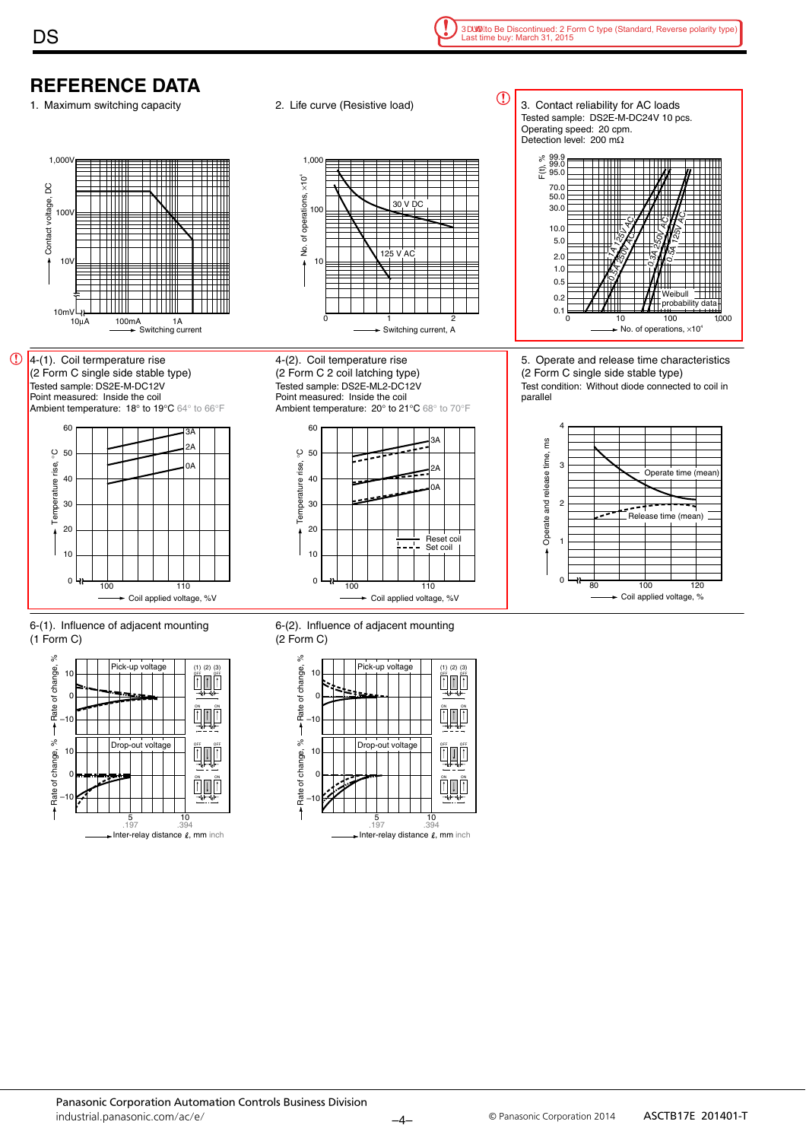# **REFERENCE DATA**

**DS** 







4-(2). Coil temperature rise (2 Form C 2 coil latching type)





5. Operate and release time characteristics (2 Form C single side stable type) Test condition: Without diode connected to coil in parallel



6-(1). Influence of adjacent mounting (1 Form C)



6-(2). Influence of adjacent mounting (2 Form C)

 $0$   $\frac{11}{100}$  110

► Coil applied voltage, %V



Tested sample: DS2E-ML2-DC12V Point measured: Inside the coil Ambient temperature: 20° to 21°C 68° to 70°F  $60$ .<br>م  $\varrho$ 50 Temperature rise, °C Temperature rise, 2A

0A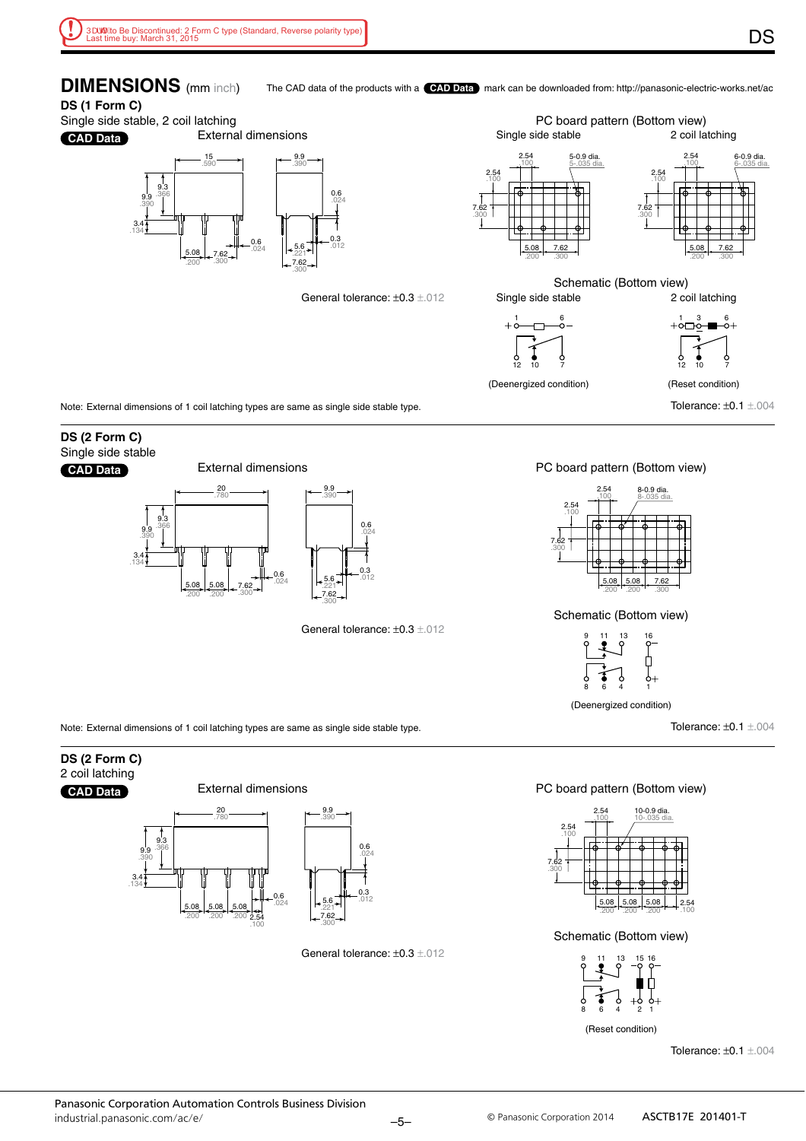**DIMENSIONS** (mm inch) The CAD data of the products with a **CAD Data** mark can be downloaded from: http://panasonic-electric-works.net/ac

#### **DS (1 Form C)**

Single side stable, 2 coil latching External dimensions

**CAD Data**



General tolerance: ±0.3 ±.012



(Deenergized condition)

Tolerance: ±0.1 ±.004

Note: External dimensions of 1 coil latching types are same as single side stable type.

#### **DS (2 Form C)** Single side stable **CAD Data**



External dimensions

General tolerance: ±0.3 ±.012

#### PC board pattern (Bottom view)



#### Schematic (Bottom view)



(Deenergized condition)

Tolerance: ±0.1 ±.004

Note: External dimensions of 1 coil latching types are same as single side stable type.

#### **DS (2 Form C)** 2 coil latching





2.54 .100

.200

.200

.200

General tolerance: ±0.3 ±.012

.300

#### PC board pattern (Bottom view)



Schematic (Bottom view)



(Reset condition)

Tolerance: ±0.1 ±.004